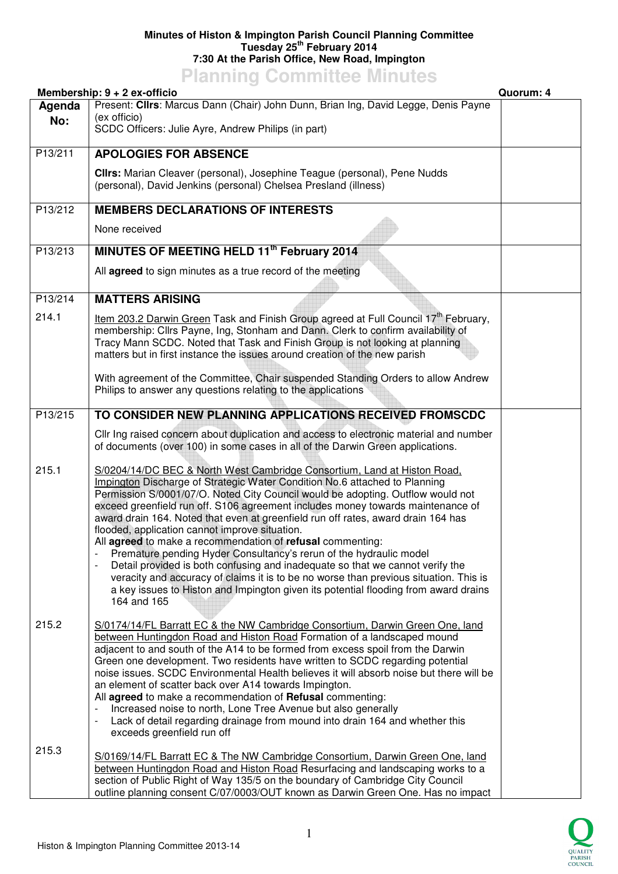## **Minutes of Histon & Impington Parish Council Planning Committee Tuesday 25th February 2014 7:30 At the Parish Office, New Road, Impington**

## **Planning Committee Minutes**

|               | Membership: 9 + 2 ex-officio                                                                                                                                                                                                                                                                                                                                                                                                                                                                                                                                                                                                                                                                                                                                                                                                                                                            | Quorum: 4 |
|---------------|-----------------------------------------------------------------------------------------------------------------------------------------------------------------------------------------------------------------------------------------------------------------------------------------------------------------------------------------------------------------------------------------------------------------------------------------------------------------------------------------------------------------------------------------------------------------------------------------------------------------------------------------------------------------------------------------------------------------------------------------------------------------------------------------------------------------------------------------------------------------------------------------|-----------|
| Agenda<br>No: | Present: Clirs: Marcus Dann (Chair) John Dunn, Brian Ing, David Legge, Denis Payne<br>(ex officio)<br>SCDC Officers: Julie Ayre, Andrew Philips (in part)                                                                                                                                                                                                                                                                                                                                                                                                                                                                                                                                                                                                                                                                                                                               |           |
| P13/211       | <b>APOLOGIES FOR ABSENCE</b>                                                                                                                                                                                                                                                                                                                                                                                                                                                                                                                                                                                                                                                                                                                                                                                                                                                            |           |
|               | Clirs: Marian Cleaver (personal), Josephine Teague (personal), Pene Nudds<br>(personal), David Jenkins (personal) Chelsea Presland (illness)                                                                                                                                                                                                                                                                                                                                                                                                                                                                                                                                                                                                                                                                                                                                            |           |
| P13/212       | <b>MEMBERS DECLARATIONS OF INTERESTS</b>                                                                                                                                                                                                                                                                                                                                                                                                                                                                                                                                                                                                                                                                                                                                                                                                                                                |           |
|               | None received                                                                                                                                                                                                                                                                                                                                                                                                                                                                                                                                                                                                                                                                                                                                                                                                                                                                           |           |
| P13/213       | MINUTES OF MEETING HELD 11 <sup>th</sup> February 2014                                                                                                                                                                                                                                                                                                                                                                                                                                                                                                                                                                                                                                                                                                                                                                                                                                  |           |
|               | All agreed to sign minutes as a true record of the meeting                                                                                                                                                                                                                                                                                                                                                                                                                                                                                                                                                                                                                                                                                                                                                                                                                              |           |
| P13/214       | <b>MATTERS ARISING</b>                                                                                                                                                                                                                                                                                                                                                                                                                                                                                                                                                                                                                                                                                                                                                                                                                                                                  |           |
| 214.1         | Item 203.2 Darwin Green Task and Finish Group agreed at Full Council 17 <sup>th</sup> February,<br>membership: Cllrs Payne, Ing, Stonham and Dann. Clerk to confirm availability of<br>Tracy Mann SCDC. Noted that Task and Finish Group is not looking at planning<br>matters but in first instance the issues around creation of the new parish                                                                                                                                                                                                                                                                                                                                                                                                                                                                                                                                       |           |
|               | With agreement of the Committee, Chair suspended Standing Orders to allow Andrew<br>Philips to answer any questions relating to the applications                                                                                                                                                                                                                                                                                                                                                                                                                                                                                                                                                                                                                                                                                                                                        |           |
| P13/215       | TO CONSIDER NEW PLANNING APPLICATIONS RECEIVED FROMSCDC                                                                                                                                                                                                                                                                                                                                                                                                                                                                                                                                                                                                                                                                                                                                                                                                                                 |           |
|               | Cllr Ing raised concern about duplication and access to electronic material and number<br>of documents (over 100) in some cases in all of the Darwin Green applications.                                                                                                                                                                                                                                                                                                                                                                                                                                                                                                                                                                                                                                                                                                                |           |
| 215.1         | S/0204/14/DC BEC & North West Cambridge Consortium, Land at Histon Road,<br>Impington Discharge of Strategic Water Condition No.6 attached to Planning<br>Permission S/0001/07/O. Noted City Council would be adopting. Outflow would not<br>exceed greenfield run off. S106 agreement includes money towards maintenance of<br>award drain 164. Noted that even at greenfield run off rates, award drain 164 has<br>flooded, application cannot improve situation.<br>All agreed to make a recommendation of refusal commenting:<br>Premature pending Hyder Consultancy's rerun of the hydraulic model<br>Detail provided is both confusing and inadequate so that we cannot verify the<br>veracity and accuracy of claims it is to be no worse than previous situation. This is<br>a key issues to Histon and Impington given its potential flooding from award drains<br>164 and 165 |           |
| 215.2         | S/0174/14/FL Barratt EC & the NW Cambridge Consortium, Darwin Green One, land<br>between Huntingdon Road and Histon Road Formation of a landscaped mound<br>adjacent to and south of the A14 to be formed from excess spoil from the Darwin<br>Green one development. Two residents have written to SCDC regarding potential<br>noise issues. SCDC Environmental Health believes it will absorb noise but there will be<br>an element of scatter back over A14 towards Impington.<br>All agreed to make a recommendation of Refusal commenting:<br>Increased noise to north, Lone Tree Avenue but also generally<br>Lack of detail regarding drainage from mound into drain 164 and whether this<br>$\overline{\phantom{a}}$<br>exceeds greenfield run off                                                                                                                              |           |
| 215.3         | S/0169/14/FL Barratt EC & The NW Cambridge Consortium, Darwin Green One, land<br>between Huntingdon Road and Histon Road Resurfacing and landscaping works to a<br>section of Public Right of Way 135/5 on the boundary of Cambridge City Council<br>outline planning consent C/07/0003/OUT known as Darwin Green One. Has no impact                                                                                                                                                                                                                                                                                                                                                                                                                                                                                                                                                    |           |

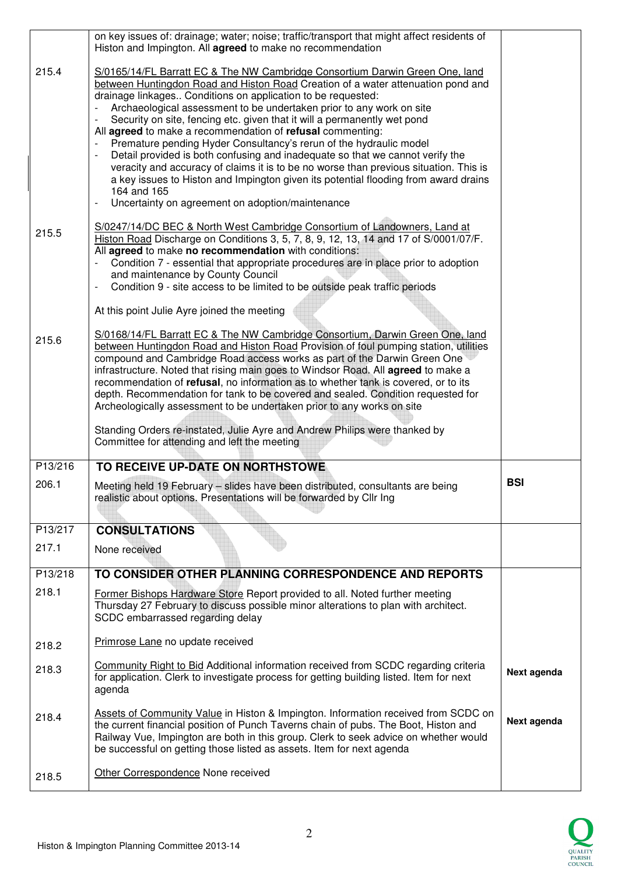|         | on key issues of: drainage; water; noise; traffic/transport that might affect residents of<br>Histon and Impington. All agreed to make no recommendation                                                                                                                                                                                                                                                                                                                                                                                                                                                                                                                                                                                                                                                                                                                                                                               |             |
|---------|----------------------------------------------------------------------------------------------------------------------------------------------------------------------------------------------------------------------------------------------------------------------------------------------------------------------------------------------------------------------------------------------------------------------------------------------------------------------------------------------------------------------------------------------------------------------------------------------------------------------------------------------------------------------------------------------------------------------------------------------------------------------------------------------------------------------------------------------------------------------------------------------------------------------------------------|-------------|
| 215.4   | S/0165/14/FL Barratt EC & The NW Cambridge Consortium Darwin Green One, land<br>between Huntingdon Road and Histon Road Creation of a water attenuation pond and<br>drainage linkages Conditions on application to be requested:<br>Archaeological assessment to be undertaken prior to any work on site<br>Security on site, fencing etc. given that it will a permanently wet pond<br>All agreed to make a recommendation of refusal commenting:<br>Premature pending Hyder Consultancy's rerun of the hydraulic model<br>$\blacksquare$<br>Detail provided is both confusing and inadequate so that we cannot verify the<br>$\overline{\phantom{a}}$<br>veracity and accuracy of claims it is to be no worse than previous situation. This is<br>a key issues to Histon and Impington given its potential flooding from award drains<br>164 and 165<br>Uncertainty on agreement on adoption/maintenance<br>$\overline{\phantom{a}}$ |             |
| 215.5   | S/0247/14/DC BEC & North West Cambridge Consortium of Landowners, Land at<br>Histon Road Discharge on Conditions 3, 5, 7, 8, 9, 12, 13, 14 and 17 of S/0001/07/F.<br>All agreed to make no recommendation with conditions:<br>Condition 7 - essential that appropriate procedures are in place prior to adoption<br>and maintenance by County Council<br>Condition 9 - site access to be limited to be outside peak traffic periods<br>$\overline{\phantom{a}}$<br>At this point Julie Ayre joined the meeting                                                                                                                                                                                                                                                                                                                                                                                                                         |             |
| 215.6   | S/0168/14/FL Barratt EC & The NW Cambridge Consortium, Darwin Green One, land<br>between Huntingdon Road and Histon Road Provision of foul pumping station, utilities<br>compound and Cambridge Road access works as part of the Darwin Green One<br>infrastructure. Noted that rising main goes to Windsor Road. All agreed to make a<br>recommendation of refusal, no information as to whether tank is covered, or to its<br>depth. Recommendation for tank to be covered and sealed. Condition requested for<br>Archeologically assessment to be undertaken prior to any works on site<br>Standing Orders re-instated, Julie Ayre and Andrew Philips were thanked by<br>Committee for attending and left the meeting                                                                                                                                                                                                               |             |
| P13/216 | TO RECEIVE UP-DATE ON NORTHSTOWE                                                                                                                                                                                                                                                                                                                                                                                                                                                                                                                                                                                                                                                                                                                                                                                                                                                                                                       |             |
| 206.1   | Meeting held 19 February - slides have been distributed, consultants are being<br>realistic about options. Presentations will be forwarded by Cllr Ing                                                                                                                                                                                                                                                                                                                                                                                                                                                                                                                                                                                                                                                                                                                                                                                 | <b>BSI</b>  |
| P13/217 | <b>CONSULTATIONS</b>                                                                                                                                                                                                                                                                                                                                                                                                                                                                                                                                                                                                                                                                                                                                                                                                                                                                                                                   |             |
| 217.1   | None received                                                                                                                                                                                                                                                                                                                                                                                                                                                                                                                                                                                                                                                                                                                                                                                                                                                                                                                          |             |
| P13/218 | TO CONSIDER OTHER PLANNING CORRESPONDENCE AND REPORTS                                                                                                                                                                                                                                                                                                                                                                                                                                                                                                                                                                                                                                                                                                                                                                                                                                                                                  |             |
| 218.1   | Former Bishops Hardware Store Report provided to all. Noted further meeting<br>Thursday 27 February to discuss possible minor alterations to plan with architect.<br>SCDC embarrassed regarding delay                                                                                                                                                                                                                                                                                                                                                                                                                                                                                                                                                                                                                                                                                                                                  |             |
| 218.2   | Primrose Lane no update received                                                                                                                                                                                                                                                                                                                                                                                                                                                                                                                                                                                                                                                                                                                                                                                                                                                                                                       |             |
| 218.3   | Community Right to Bid Additional information received from SCDC regarding criteria<br>for application. Clerk to investigate process for getting building listed. Item for next<br>agenda                                                                                                                                                                                                                                                                                                                                                                                                                                                                                                                                                                                                                                                                                                                                              | Next agenda |
| 218.4   | Assets of Community Value in Histon & Impington. Information received from SCDC on<br>the current financial position of Punch Taverns chain of pubs. The Boot, Histon and<br>Railway Vue, Impington are both in this group. Clerk to seek advice on whether would<br>be successful on getting those listed as assets. Item for next agenda                                                                                                                                                                                                                                                                                                                                                                                                                                                                                                                                                                                             | Next agenda |
| 218.5   | Other Correspondence None received                                                                                                                                                                                                                                                                                                                                                                                                                                                                                                                                                                                                                                                                                                                                                                                                                                                                                                     |             |